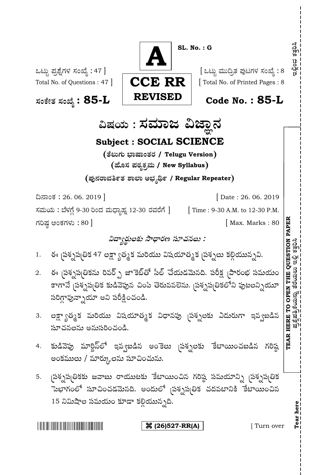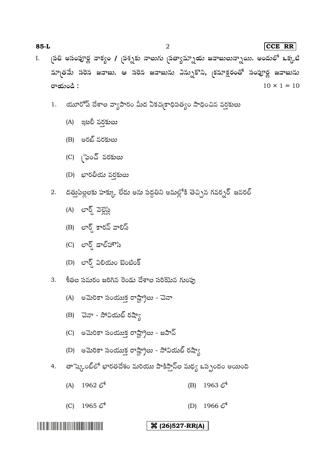| 85-L |  |  |  |                                                                                                                        | $ CCE$ RR $ $ |
|------|--|--|--|------------------------------------------------------------------------------------------------------------------------|---------------|
|      |  |  |  | I. <sub>(</sub> పతి అసంపూర్ణ వాక్యం / <sub>(</sub> పశ్నకు నాలుగు <sub>(</sub> పత్యామ్నాయు జవాబులున్నాయి. అందులో ఒక్కటి |               |
|      |  |  |  | మాౖతమే సరెన జవాబు. ఆ సరెన జవాబును ఎన్సుకొని, ౖకమాక్షరంతో సంపూర్ణ జవాబును                                               |               |

 $10 \times 1 = 10$ 

యూరోప్ దేశాల వ్యాపారం మీద ఏకచ్చకాధిపత్యం సాధించిన వర్తకులు 1.

(A)

రాయండి :

- (B)
- (C) (్మెంచ్ వరకులు
- (D)
- 2. దత్తుపిల్లలకు హక్కు లేదు అను పద్ధతిని అమల్లోకి తెచ్చిన గవర్నర్ జనరల్
	- (A) ಲಾರ್<mark>ಡ್</mark> ವಿಶ್ಲಜ್ಗಿ
	- (B) లార్డ్ కారన్ వాలిస్
	- (C) లార్డ్ డాల్హౌసి

- (D)  $er\bar{c}$  බවරා බංගීං $\bar{s}$
- శీతల సమరం జరిగిన రెండు దేశాల సరియెన గుంపు 3.
- 
- 
- 
- 
- -
	- (A) అమెరికా సంయుక్త రాష్ట్రాలు చెనా
	- (B) చెనా సోవియట్ రష్యా
	-
	- (C) అమెరికా సంయుక్త రాష్ట్రాలు జపాన్
	-
	- (D) అమెరికా సంయుక్త రాష్ట్రాలు సోవియట్ రష్యా
- 4. తాష్కెంట్లో భారతదేశం మరియు పాకిస్తాన్ల మధ్య ఒప్పందం అయింది

 $(A)$  1962  $\mathfrak{S}^5$  (B) 1963  $\mathfrak{S}^5$ 

 $(D)$  1965  $\mathfrak{S}^6$  (D) 1966  $\mathfrak{S}^6$ 

- 
- 

**(26)527-RR(A)**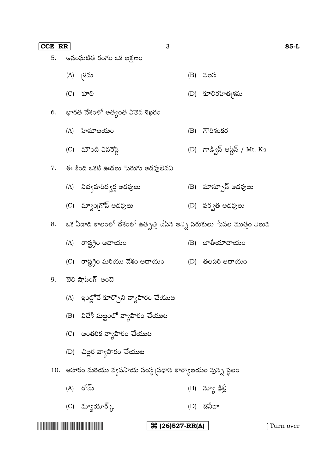|                                                                                                                      | (C) రాష్ట్రం మరియు దేశం ఆదాయం (D) తలసరి ఆదాయం             |                              |                 |           |
|----------------------------------------------------------------------------------------------------------------------|-----------------------------------------------------------|------------------------------|-----------------|-----------|
|                                                                                                                      | 9.    టెలి షాపింగ్ అంటె                                   |                              |                 |           |
|                                                                                                                      | (A) - ఇంట్లోనే కూర్చొని వ్యాపారం చేయుట                    |                              |                 |           |
|                                                                                                                      | (B)    విదేశీ మట్టంలో వ్యాపారం చేయుట                      |                              |                 |           |
|                                                                                                                      | (C) ఆంతరిక వ్యాపారం చేయుట                                 |                              |                 |           |
|                                                                                                                      | (D) - చిల్లర వ్యాపారం చేయుట                               |                              |                 |           |
|                                                                                                                      | 10. ఆహారం మరియు వ్యవసాయ సంస్థ బడధాన కార్యాలయం వున్న స్థలం |                              |                 |           |
|                                                                                                                      | (A) రోమ్                                                  |                              | (B) న్యూ ఢిల్లీ |           |
|                                                                                                                      | (C) స్యూయార్ $\chi_{\rm r}$                               |                              | $(D)$ జెనీవా    |           |
| <u> Literatura de la contrada de la contrada de la contrada de la contrada de la contrada de la contrada de la c</u> |                                                           | $\frac{1}{26}$ (26)527-RR(A) |                 | Turn over |

8. ఒక ఏడాది కాలంలో దేశంలో ఉత్పత్తి చేసిన అన్ని సరుకులు ేసవల మొత్తం విలువ

(A) (B)

- (C) (D)
- (A) నిత్యహరిద్వర్ణ అడవులు (B) మాన్పూన్ అడవులు
- 7. ఈ కింది ఒకటి ఊడలు పెరుగు అడవులెనవి
- (C) మౌంట్ ఎవరెస్ట్  $(D)$  గాడ్విస్ ఆస్టిస్ / Mt. K2
- (A) హిమాలయం<br>(B) గౌరిశంకర
- 6.
- (C) (D)

(A) (B)

- 5.
- అసంఘటిత రంగం ఒక లక్షణం

**CCE RR** 3 **85-L**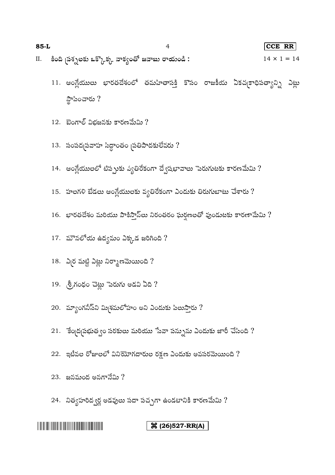| $85-L$ |                                                                     | CCE RR             |
|--------|---------------------------------------------------------------------|--------------------|
|        | II.     కింది <sub>(</sub> పశ్నలకు ఒక్కొక్క వాక్యంతో జవాబు రాయండి : | $14 \times 1 = 14$ |
|        |                                                                     |                    |

- 11. ఆంగ్లేయులు భారతదేశంలో తమహితాసక్తి కొసం రాజకీయ ఏకచ్చకాధిపత్యాన్ని ఎట్లు స్థాపించారు ?
- $12.$  బెంగాల్ విభజనకు కారణమేమి ?
- $13.$  సంపద్మపవాహ సిద్ధాంతం వుతిపాదకులేవరు ?
- 14. ఆంగ్లేయులలో టిప్పుకు వ్యతిరేకంగా ద్వేషభావాలు పెరుగుటకు కారణమేమి ?
- $15.$  హలగళి బేడలు ఆంగ్లేయులకు వ్యతిరేకంగా ఎందుకు తిరుగుబాటు చేశారు ?
- $16.$  భారతదేశం మరియు పాకిస్తాన్లు నిరంతరం ఘర్షణలతో వుండుటకు కారణామేమి ?
- 17. మౌనలోయ ఉద్యమం ఎక్కడ జరిగింది?
- $18.$   $\lambda$  NU మట్టి ఎట్లు నిర్మాణమెయింది ?
- 19.  $\S$ గంధం చెట్లు పెరుగు అడవి ఏది ?
- 20. మ్యాంగనీస్ ని మిశమలోహం అని ఎందుకు పిలుస్తారు ?
- 21. కేందగ్రపభుత్వం సరకులు మరియు సేవా పన్నును ఎందుకు జారీ చేసింది?
- $22.$  ఇటీవల రోజులలో వినియోగదారుల రక్షణ ఎందుకు అవసరమెయింది ?
- 23. జనమంద $e$  అనగానేమి  $?$
- 24. నిత్యహరిద్వర్ణ అడవులు సదా పచ్చగా ఉండటానికి కారణమేమి ?

## **(26)527-RR(A)**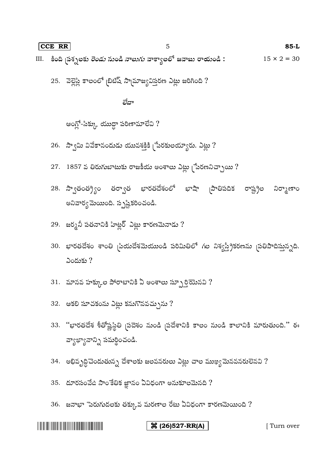## **CCE RR** 5 **85-L** III. కింది బస్సులకు రెండు నుండి నాలుగు వాక్యాలలో జవాబు రాయండి:  $15 \times 2 = 30$

25. వెల్లెస్లి కాలంలో బిటిష్ స్మామాజ్యవిస్తరణ ఎట్లు జరిగింది?

ಶೆದ್

ఆంగ్లో-సిక్కు యుద్దా పరిణామాలేవి ?

- $26.$  స్వామి వివేకానందుడు యువశక్తికి  $[$ పేరకులయ్యారు. ఎట్లు  $?$
- 27.  $1857$  వ తిరుగుబాటుకు రాజకీయ అంశాలు ఎట్లు (పేరణనిచ్చాయి?
- 28. స్వాతంత్ర్యం తర్వాత భారతదేశంలో భాషా బాతిపదిక రాష్ట్రం నిర్మాణాం అనివార్వ మెయింది. స్పష్టికరించండి.
- $29.$  జర్మనీ పతనానికి హిట్లర్ ఎట్లు కారణమెనాడు ?
- 30. భారతదేశం శాంతి మియదేశమెయుండి పరిమితిలో గల నిశ్వస్థ్రీకరణను చుతిపాదిస్తున్నది.  $\omega$ దుకు?
- 31. మానవ హక్కుల పోరాటానికి ఏ అంశాలు స్పూర్తి చెందిన ?
- 32. ఆకలి సూచకంను ఎట్లు కనుగొనవచ్చును ?
- 33. "భారతదేశ శీతోష్ణస్థితి వ్రదేశం నుండి వ్రదేశానికి కాలం నుండి కాలానికి మారుతుంది." ఈ వ్యాఖ్యానాన్ని సమర్థించండి.
- 34. అభివృద్ధిచెందుతున్న దేశాలకు జలవనరులు ఎట్లు చాల ముఖ్యమెనవరులెనవి ?
- 35. దూరసంవేది సాంకేతిక జ్ఞానం ఏవిధంగా అనుకూలమెనది ?
- 36. జనాభా $\,$ పెరుగుదలకు తక్కువ మరణాల రేటు ఏవిధంగా కారణమెయింది  $?$

| <b>Contract Contract Contract Contract Contract Contract Contract Contract Contract Contract Contract Contract Co</b> |
|-----------------------------------------------------------------------------------------------------------------------|
|-----------------------------------------------------------------------------------------------------------------------|

**(26) 327-RR(A)** [ Turn over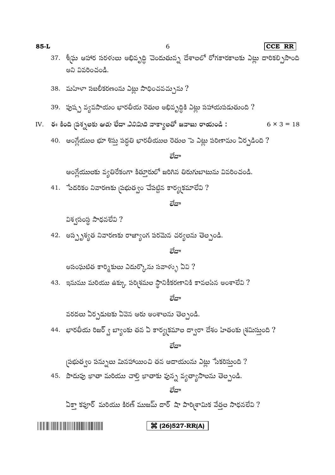## 36 (26)527-RR(A)

ఏకా కపూర్ మరియు కిరణ్ ముజమ్ దార్ షా పారి శామిక వేత్తల సాధనలేవి ?

లేదా

45. పొదుపు ఖాతా మరియు చాల్తి ఖాతాకు వున్న వ్యత్యాసాలను తెల్పండి.

 $\beta$ పభుత్వం పన్నులు మినహాయించి తన ఆదాయంను ఎట్లు ేనకరిస్తుంది ?

లేదా

44. భారతీయ రిజర్ ్య బ్యాంకు తన ఏ కార్య(కమాల ద్వారా దేశం హితంకు (శమిస్తుంది ?

వరదలు ఏర్పడుటకు ఏవెన ఆరు అంశాలను తెల్పండి.

లేదా

43. ఇనుము మరియు ఉక్కు పర్శిశమల స్థానికీకరణానికి కావలసిన అంశాలేవి ?

అసంఘటిత కార్శికులు ఎదుర్కొను సవాళ్ళు ఏవి ?

లేదా

42. అస్సృశ్వత నివారణకు రాజ్యాంగ పరమెన చర్యలను తెల్పండి.

41. పేదరికం నివారణకు <sub>(</sub>పభుత్వం చేపట్టిన కార్య(కమాలేవి ?

విశ్వసంస్థ సాధనలేవి ?

## లేదా

లేదా

ఆంగ్లేయులకు వ్యతిరేకంగా కిత్వూరులో జరిగిన తిరుగుబాటును వివరించండి.

40. ఆంగ్లేయుల భూ శిస్తు పద్ధతి భారతీయుల రెతుల సె ఎట్లు పరిణామం ఏర్పడింది ?

- 
- 
- IV. ఈ కింది వస్సలకు ఆరు లేదా *ఎనిమిది* వాక్వాలతో జవాబు రాయండి :  $6 \times 3 = 18$
- 
- 39. పుష్ప వ్యవసాయం భారతీయ రెతుల అభివృద్ధికి ఎట్లు సహాయపడుతుంది ?
- 
- 38. మహిళా సబలీకరణంను ఎట్లు సాధించవచ్చును ?
- అని వివరించండి.

37. శీస్థు ఆహార సరళులు అభివృద్ధి చెందుతున్న దేశాలలో రోగకారకాలకు ఎట్లు దారికల్పిసొంది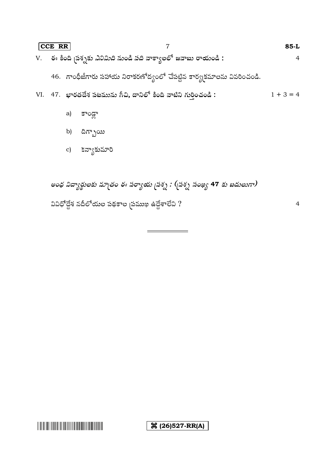| CCE RR |                                                                                                          | $85-L$         |
|--------|----------------------------------------------------------------------------------------------------------|----------------|
|        | V.     ఈ కింది <sub>l</sub> పశ్నకు <i>ఎనిమిది</i> నుండి <i>పది</i> వాక్యాలలో జవాబు రాయండి <mark>:</mark> | $\overline{4}$ |
|        | 46. గాంధీజీగారు సహాయ నిరాకరణోద్వంలో చేపట్టిన కార్యకమాలను వివరించండి.                                     |                |
|        | VI. 47. భారతదేశ పటమును గీచి, దానిలో కింది వాటిని గురించండి :                                             | $1 + 3 = 4$    |
|        | కాండా<br>a)                                                                                              |                |

- b)  $\frac{1}{2}$  b)  $\frac{1}{2}$
- c) కన్యాకుమారి

అంధ విద్యార్థులకు మా<sub>(</sub>తం ఈ పర్యాయ <sub>(</sub>పశ్న : (<sub>(</sub>పశ్న సంఖ్య 47 కు బదులుగా) వివిధోద్దేశ నదీలోయల పథకాల <sub>(</sub>పముఖ ఉద్దేశాలేవి ?

4

 $\mathcal{R}(26)527-RR(A)$